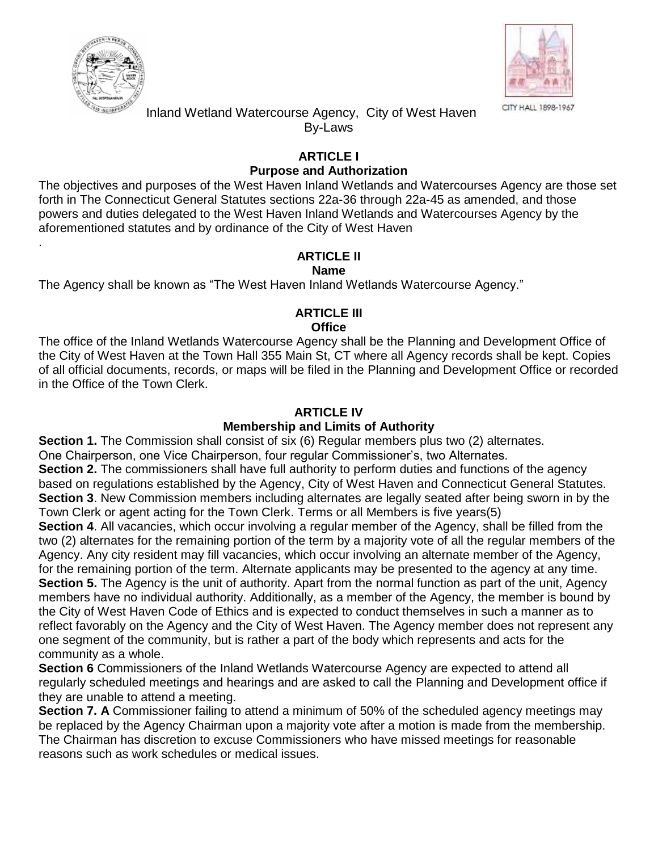

.



 Inland Wetland Watercourse Agency, City of West Haven By-Laws

### **ARTICLE I Purpose and Authorization**

The objectives and purposes of the West Haven Inland Wetlands and Watercourses Agency are those set forth in The Connecticut General Statutes sections 22a-36 through 22a-45 as amended, and those powers and duties delegated to the West Haven Inland Wetlands and Watercourses Agency by the aforementioned statutes and by ordinance of the City of West Haven

# **ARTICLE II**

## **Name**

The Agency shall be known as "The West Haven Inland Wetlands Watercourse Agency."

### **ARTICLE III Office**

The office of the Inland Wetlands Watercourse Agency shall be the Planning and Development Office of the City of West Haven at the Town Hall 355 Main St, CT where all Agency records shall be kept. Copies of all official documents, records, or maps will be filed in the Planning and Development Office or recorded in the Office of the Town Clerk.

## **ARTICLE IV**

# **Membership and Limits of Authority**

**Section 1.** The Commission shall consist of six (6) Regular members plus two (2) alternates. One Chairperson, one Vice Chairperson, four regular Commissioner's, two Alternates.

**Section 2.** The commissioners shall have full authority to perform duties and functions of the agency based on regulations established by the Agency, City of West Haven and Connecticut General Statutes. **Section 3**. New Commission members including alternates are legally seated after being sworn in by the Town Clerk or agent acting for the Town Clerk. Terms or all Members is five years(5)

**Section 4.** All vacancies, which occur involving a regular member of the Agency, shall be filled from the two (2) alternates for the remaining portion of the term by a majority vote of all the regular members of the Agency. Any city resident may fill vacancies, which occur involving an alternate member of the Agency,

for the remaining portion of the term. Alternate applicants may be presented to the agency at any time. **Section 5.** The Agency is the unit of authority. Apart from the normal function as part of the unit, Agency members have no individual authority. Additionally, as a member of the Agency, the member is bound by the City of West Haven Code of Ethics and is expected to conduct themselves in such a manner as to reflect favorably on the Agency and the City of West Haven. The Agency member does not represent any one segment of the community, but is rather a part of the body which represents and acts for the community as a whole.

**Section 6** Commissioners of the Inland Wetlands Watercourse Agency are expected to attend all regularly scheduled meetings and hearings and are asked to call the Planning and Development office if they are unable to attend a meeting.

**Section 7. A** Commissioner failing to attend a minimum of 50% of the scheduled agency meetings may be replaced by the Agency Chairman upon a majority vote after a motion is made from the membership. The Chairman has discretion to excuse Commissioners who have missed meetings for reasonable reasons such as work schedules or medical issues.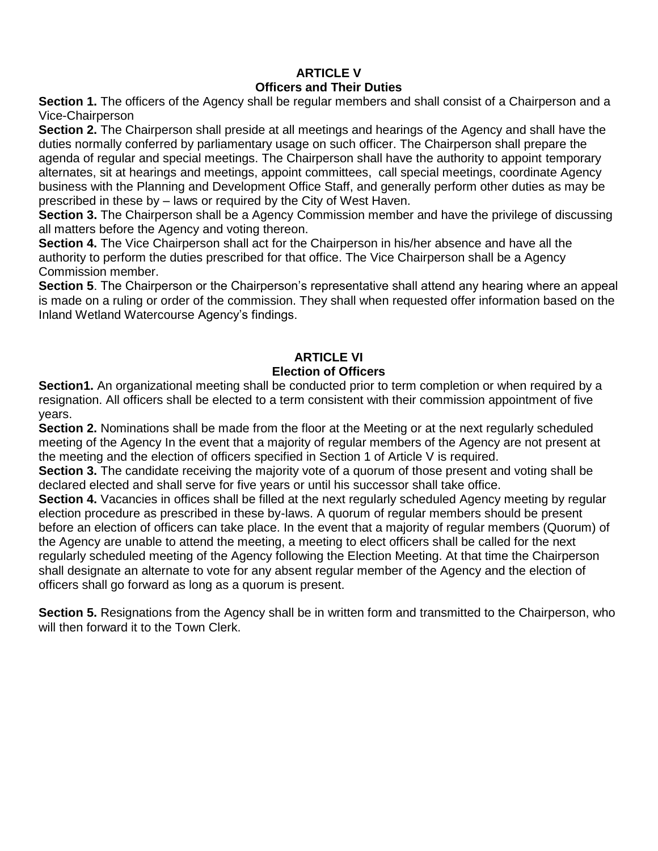#### **ARTICLE V Officers and Their Duties**

**Section 1.** The officers of the Agency shall be regular members and shall consist of a Chairperson and a Vice-Chairperson

**Section 2.** The Chairperson shall preside at all meetings and hearings of the Agency and shall have the duties normally conferred by parliamentary usage on such officer. The Chairperson shall prepare the agenda of regular and special meetings. The Chairperson shall have the authority to appoint temporary alternates, sit at hearings and meetings, appoint committees, call special meetings, coordinate Agency business with the Planning and Development Office Staff, and generally perform other duties as may be prescribed in these by – laws or required by the City of West Haven.

**Section 3.** The Chairperson shall be a Agency Commission member and have the privilege of discussing all matters before the Agency and voting thereon.

**Section 4.** The Vice Chairperson shall act for the Chairperson in his/her absence and have all the authority to perform the duties prescribed for that office. The Vice Chairperson shall be a Agency Commission member.

**Section 5**. The Chairperson or the Chairperson's representative shall attend any hearing where an appeal is made on a ruling or order of the commission. They shall when requested offer information based on the Inland Wetland Watercourse Agency's findings.

#### **ARTICLE VI Election of Officers**

**Section1.** An organizational meeting shall be conducted prior to term completion or when required by a resignation. All officers shall be elected to a term consistent with their commission appointment of five years.

**Section 2.** Nominations shall be made from the floor at the Meeting or at the next regularly scheduled meeting of the Agency In the event that a majority of regular members of the Agency are not present at the meeting and the election of officers specified in Section 1 of Article V is required.

**Section 3.** The candidate receiving the majority vote of a quorum of those present and voting shall be declared elected and shall serve for five years or until his successor shall take office.

**Section 4.** Vacancies in offices shall be filled at the next regularly scheduled Agency meeting by regular election procedure as prescribed in these by-laws. A quorum of regular members should be present before an election of officers can take place. In the event that a majority of regular members (Quorum) of the Agency are unable to attend the meeting, a meeting to elect officers shall be called for the next regularly scheduled meeting of the Agency following the Election Meeting. At that time the Chairperson shall designate an alternate to vote for any absent regular member of the Agency and the election of officers shall go forward as long as a quorum is present.

**Section 5.** Resignations from the Agency shall be in written form and transmitted to the Chairperson, who will then forward it to the Town Clerk.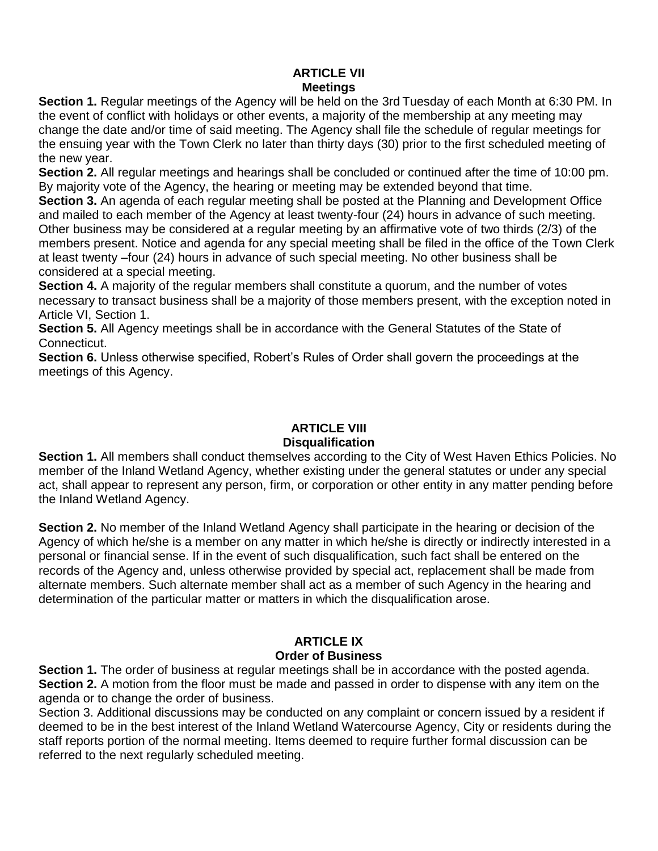### **ARTICLE VII Meetings**

**Section 1.** Regular meetings of the Agency will be held on the 3rd Tuesday of each Month at 6:30 PM. In the event of conflict with holidays or other events, a majority of the membership at any meeting may change the date and/or time of said meeting. The Agency shall file the schedule of regular meetings for the ensuing year with the Town Clerk no later than thirty days (30) prior to the first scheduled meeting of the new year.

**Section 2.** All regular meetings and hearings shall be concluded or continued after the time of 10:00 pm. By majority vote of the Agency, the hearing or meeting may be extended beyond that time.

**Section 3.** An agenda of each regular meeting shall be posted at the Planning and Development Office and mailed to each member of the Agency at least twenty-four (24) hours in advance of such meeting. Other business may be considered at a regular meeting by an affirmative vote of two thirds (2/3) of the members present. Notice and agenda for any special meeting shall be filed in the office of the Town Clerk at least twenty –four (24) hours in advance of such special meeting. No other business shall be considered at a special meeting.

**Section 4.** A majority of the regular members shall constitute a guorum, and the number of votes necessary to transact business shall be a majority of those members present, with the exception noted in Article VI, Section 1.

**Section 5.** All Agency meetings shall be in accordance with the General Statutes of the State of Connecticut.

**Section 6.** Unless otherwise specified, Robert's Rules of Order shall govern the proceedings at the meetings of this Agency.

# **ARTICLE VIII Disqualification**

**Section 1.** All members shall conduct themselves according to the City of West Haven Ethics Policies. No member of the Inland Wetland Agency, whether existing under the general statutes or under any special act, shall appear to represent any person, firm, or corporation or other entity in any matter pending before the Inland Wetland Agency.

**Section 2.** No member of the Inland Wetland Agency shall participate in the hearing or decision of the Agency of which he/she is a member on any matter in which he/she is directly or indirectly interested in a personal or financial sense. If in the event of such disqualification, such fact shall be entered on the records of the Agency and, unless otherwise provided by special act, replacement shall be made from alternate members. Such alternate member shall act as a member of such Agency in the hearing and determination of the particular matter or matters in which the disqualification arose.

# **ARTICLE IX**

### **Order of Business**

**Section 1.** The order of business at regular meetings shall be in accordance with the posted agenda. **Section 2.** A motion from the floor must be made and passed in order to dispense with any item on the agenda or to change the order of business.

Section 3. Additional discussions may be conducted on any complaint or concern issued by a resident if deemed to be in the best interest of the Inland Wetland Watercourse Agency, City or residents during the staff reports portion of the normal meeting. Items deemed to require further formal discussion can be referred to the next regularly scheduled meeting.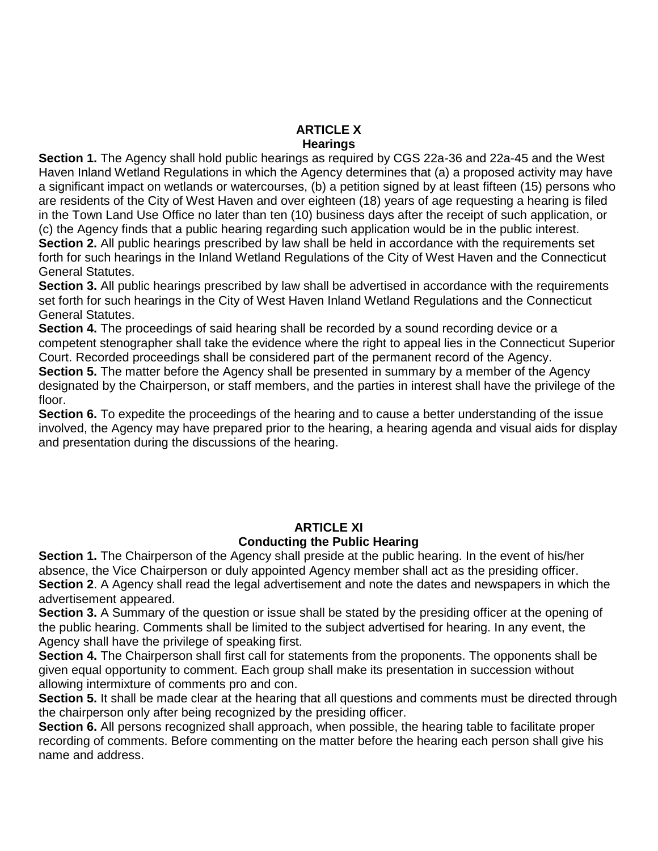# **ARTICLE X**

**Hearings** 

**Section 1.** The Agency shall hold public hearings as required by CGS 22a-36 and 22a-45 and the West Haven Inland Wetland Regulations in which the Agency determines that (a) a proposed activity may have a significant impact on wetlands or watercourses, (b) a petition signed by at least fifteen (15) persons who are residents of the City of West Haven and over eighteen (18) years of age requesting a hearing is filed in the Town Land Use Office no later than ten (10) business days after the receipt of such application, or (c) the Agency finds that a public hearing regarding such application would be in the public interest. **Section 2.** All public hearings prescribed by law shall be held in accordance with the requirements set forth for such hearings in the Inland Wetland Regulations of the City of West Haven and the Connecticut General Statutes.

**Section 3.** All public hearings prescribed by law shall be advertised in accordance with the requirements set forth for such hearings in the City of West Haven Inland Wetland Regulations and the Connecticut General Statutes.

**Section 4.** The proceedings of said hearing shall be recorded by a sound recording device or a competent stenographer shall take the evidence where the right to appeal lies in the Connecticut Superior Court. Recorded proceedings shall be considered part of the permanent record of the Agency.

**Section 5.** The matter before the Agency shall be presented in summary by a member of the Agency designated by the Chairperson, or staff members, and the parties in interest shall have the privilege of the floor.

**Section 6.** To expedite the proceedings of the hearing and to cause a better understanding of the issue involved, the Agency may have prepared prior to the hearing, a hearing agenda and visual aids for display and presentation during the discussions of the hearing.

#### **ARTICLE XI Conducting the Public Hearing**

**Section 1.** The Chairperson of the Agency shall preside at the public hearing. In the event of his/her absence, the Vice Chairperson or duly appointed Agency member shall act as the presiding officer. **Section 2**. A Agency shall read the legal advertisement and note the dates and newspapers in which the advertisement appeared.

**Section 3.** A Summary of the question or issue shall be stated by the presiding officer at the opening of the public hearing. Comments shall be limited to the subject advertised for hearing. In any event, the Agency shall have the privilege of speaking first.

Section 4. The Chairperson shall first call for statements from the proponents. The opponents shall be given equal opportunity to comment. Each group shall make its presentation in succession without allowing intermixture of comments pro and con.

**Section 5.** It shall be made clear at the hearing that all questions and comments must be directed through the chairperson only after being recognized by the presiding officer.

**Section 6.** All persons recognized shall approach, when possible, the hearing table to facilitate proper recording of comments. Before commenting on the matter before the hearing each person shall give his name and address.